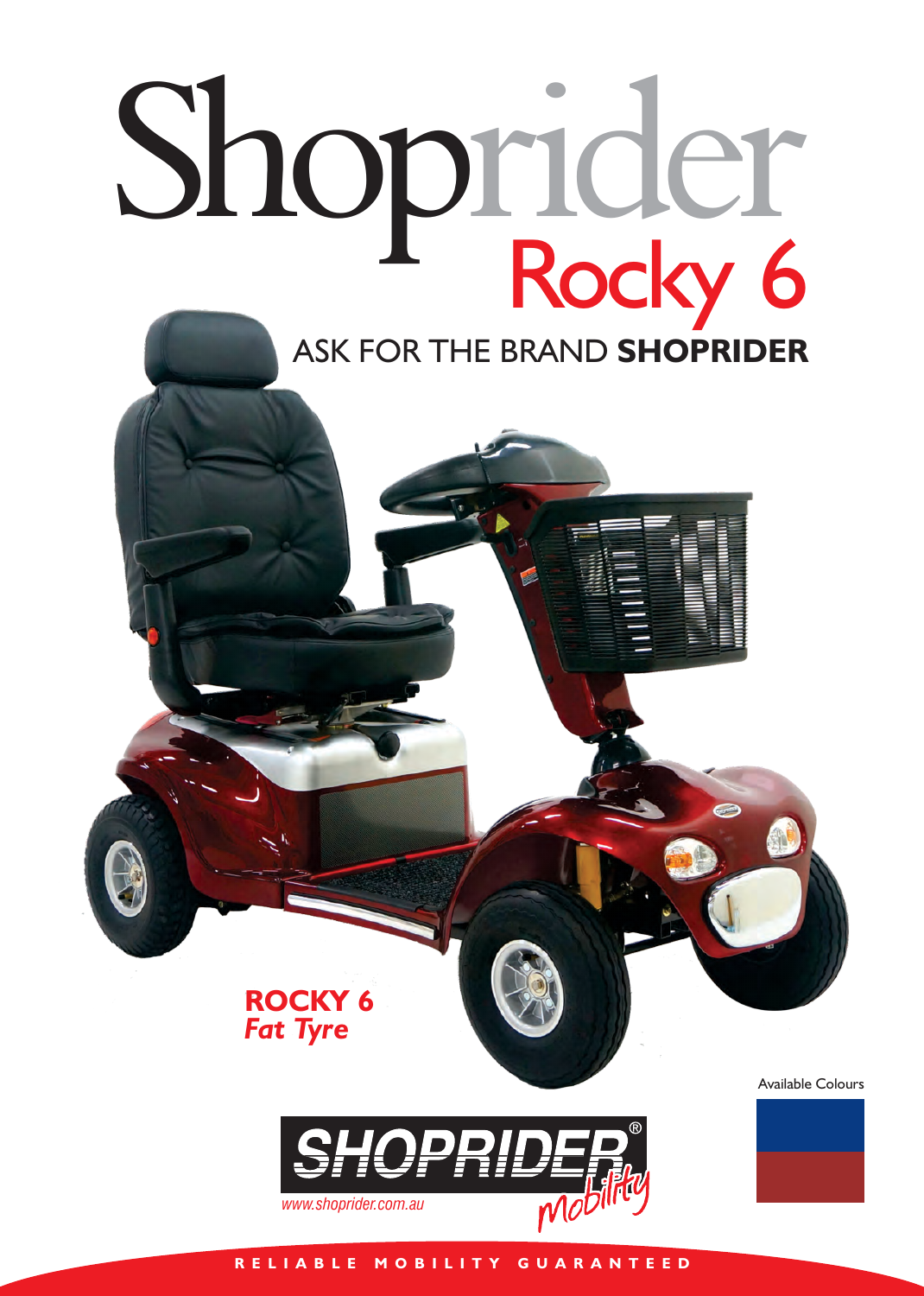## Shoprider Rocky 6 ASK FOR THE BRAND **SHOPRIDER**

Available Colours



**ROCKY 6**

*Fat Tyre*

**R E L I A B L E M O B I L I T Y G U A R A N T E E D**